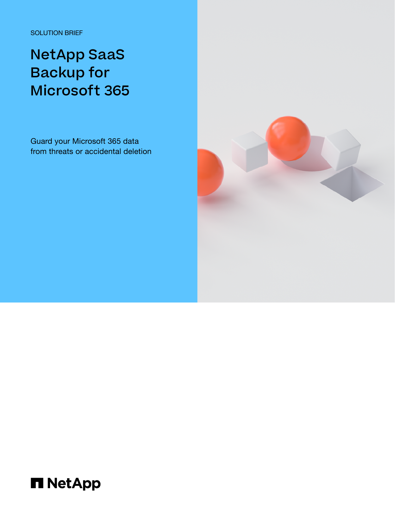SOLUTION BRIEF

# NetApp SaaS Backup for Microsoft 365

Guard your Microsoft 365 data from threats or accidental deletion



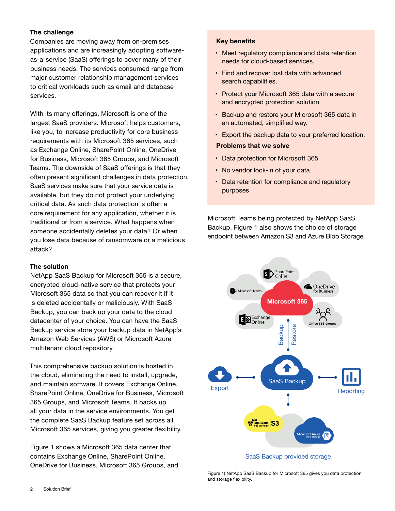# **The challenge**

Companies are moving away from on-premises applications and are increasingly adopting softwareas-a-service (SaaS) offerings to cover many of their business needs. The services consumed range from major customer relationship management services to critical workloads such as email and database services.

With its many offerings, Microsoft is one of the largest SaaS providers. Microsoft helps customers, like you, to increase productivity for core business requirements with its Microsoft 365 services, such as Exchange Online, SharePoint Online, OneDrive for Business, Microsoft 365 Groups, and Microsoft Teams. The downside of SaaS offerings is that they often present significant challenges in data protection. SaaS services make sure that your service data is available, but they do not protect your underlying critical data. As such data protection is often a core requirement for any application, whether it is traditional or from a service. What happens when someone accidentally deletes your data? Or when you lose data because of ransomware or a malicious attack?

## **The solution**

NetApp SaaS Backup for Microsoft 365 is a secure, encrypted cloud-native service that protects your Microsoft 365 data so that you can recover it if it is deleted accidentally or maliciously. With SaaS Backup, you can back up your data to the cloud datacenter of your choice. You can have the SaaS Backup service store your backup data in NetApp's Amazon Web Services (AWS) or Microsoft Azure multitenant cloud repository.

This comprehensive backup solution is hosted in the cloud, eliminating the need to install, upgrade, and maintain software. It covers Exchange Online, SharePoint Online, OneDrive for Business, Microsoft 365 Groups, and Microsoft Teams. It backs up all your data in the service environments. You get the complete SaaS Backup feature set across all Microsoft 365 services, giving you greater flexibility.

Figure 1 shows a Microsoft 365 data center that contains Exchange Online, SharePoint Online, OneDrive for Business, Microsoft 365 Groups, and

#### **Key benefits**

- Meet regulatory compliance and data retention needs for cloud-based services.
- Find and recover lost data with advanced search capabilities.
- Protect your Microsoft 365 data with a secure and encrypted protection solution.
- Backup and restore your Microsoft 365 data in an automated, simplified way.
- Export the backup data to your preferred location.

## **Problems that we solve**

- Data protection for Microsoft 365
- No vendor lock-in of your data
- Data retention for compliance and regulatory purposes

Microsoft Teams being protected by NetApp SaaS Backup. Figure 1 also shows the choice of storage endpoint between Amazon S3 and Azure Blob Storage.



Figure 1) NetApp SaaS Backup for Microsoft 365 gives you data protection and storage flexibility.